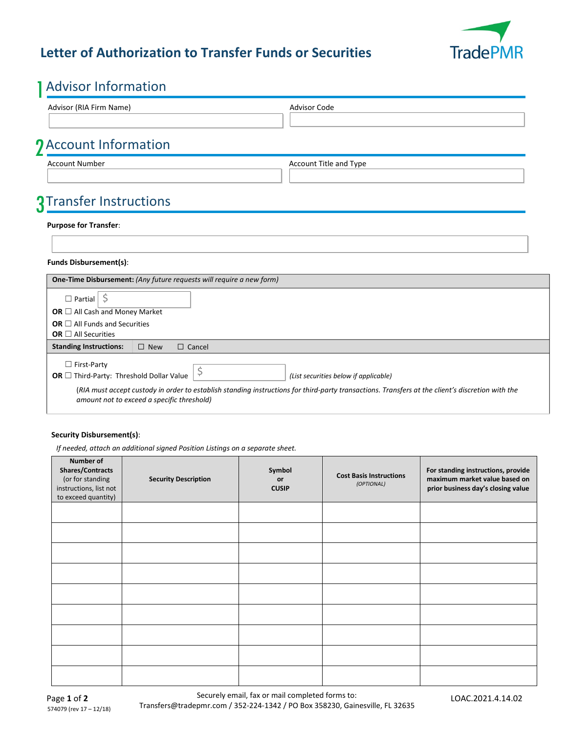

### **Letter of Authorization to Transfer Funds or Securities**

## 1Advisor Information

| <b>AUVISUL INTUITIQUUI</b>                                           |                                                                                                                                                  |  |
|----------------------------------------------------------------------|--------------------------------------------------------------------------------------------------------------------------------------------------|--|
| Advisor (RIA Firm Name)                                              | <b>Advisor Code</b>                                                                                                                              |  |
|                                                                      |                                                                                                                                                  |  |
| <b>J</b> Account Information                                         |                                                                                                                                                  |  |
| <b>Account Number</b>                                                | Account Title and Type                                                                                                                           |  |
|                                                                      |                                                                                                                                                  |  |
| 3 Transfer Instructions                                              |                                                                                                                                                  |  |
| <b>Purpose for Transfer:</b>                                         |                                                                                                                                                  |  |
|                                                                      |                                                                                                                                                  |  |
|                                                                      |                                                                                                                                                  |  |
| Funds Disbursement(s):                                               |                                                                                                                                                  |  |
| One-Time Disbursement: (Any future requests will require a new form) |                                                                                                                                                  |  |
| $\Box$ Partial $\frac{1}{2}$                                         |                                                                                                                                                  |  |
| OR $\Box$ All Cash and Money Market                                  |                                                                                                                                                  |  |
| OR $\Box$ All Funds and Securities                                   |                                                                                                                                                  |  |
| OR $\Box$ All Securities                                             |                                                                                                                                                  |  |
| <b>Standing Instructions:</b><br>$\square$ New<br>$\Box$ Cancel      |                                                                                                                                                  |  |
| $\Box$ First-Party                                                   |                                                                                                                                                  |  |
| \$<br>OR $\Box$ Third-Party: Threshold Dollar Value                  | (List securities below if applicable)                                                                                                            |  |
| amount not to exceed a specific threshold)                           | (RIA must accept custody in order to establish standing instructions for third-party transactions. Transfers at the client's discretion with the |  |

### **Security Disbursement(s)**:

*If needed, attach an additional signed Position Listings on a separate sheet.*

| <b>Number of</b><br><b>Shares/Contracts</b><br>(or for standing<br>instructions, list not<br>to exceed quantity) | <b>Security Description</b> | Symbol<br>or<br><b>CUSIP</b> | <b>Cost Basis Instructions</b><br>(OPTIONAL) | For standing instructions, provide<br>maximum market value based on<br>prior business day's closing value |
|------------------------------------------------------------------------------------------------------------------|-----------------------------|------------------------------|----------------------------------------------|-----------------------------------------------------------------------------------------------------------|
|                                                                                                                  |                             |                              |                                              |                                                                                                           |
|                                                                                                                  |                             |                              |                                              |                                                                                                           |
|                                                                                                                  |                             |                              |                                              |                                                                                                           |
|                                                                                                                  |                             |                              |                                              |                                                                                                           |
|                                                                                                                  |                             |                              |                                              |                                                                                                           |
|                                                                                                                  |                             |                              |                                              |                                                                                                           |
|                                                                                                                  |                             |                              |                                              |                                                                                                           |
|                                                                                                                  |                             |                              |                                              |                                                                                                           |
|                                                                                                                  |                             |                              |                                              |                                                                                                           |